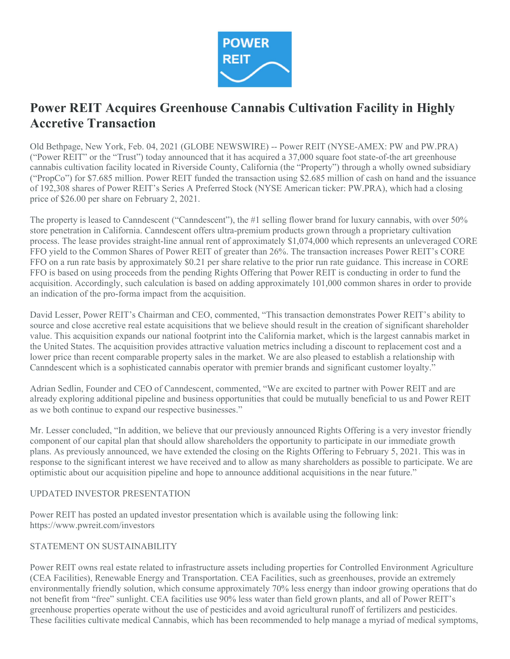

# Power REIT Acquires Greenhouse Cannabis Cultivation Facility in Highly Accretive Transaction

Old Bethpage, New York, Feb. 04, 2021 (GLOBE NEWSWIRE) -- Power REIT (NYSE-AMEX: PW and PW.PRA) ("Power REIT" or the "Trust") today announced that it has acquired a 37,000 square foot state-of-the art greenhouse cannabis cultivation facility located in Riverside County, California (the "Property") through a wholly owned subsidiary ("PropCo") for \$7.685 million. Power REIT funded the transaction using \$2.685 million of cash on hand and the issuance of 192,308 shares of Power REIT's Series A Preferred Stock (NYSE American ticker: PW.PRA), which had a closing price of \$26.00 per share on February 2, 2021.

The property is leased to Canndescent ("Canndescent"), the #1 selling flower brand for luxury cannabis, with over 50% store penetration in California. Canndescent offers ultra-premium products grown through a proprietary cultivation process. The lease provides straight-line annual rent of approximately \$1,074,000 which represents an unleveraged CORE FFO yield to the Common Shares of Power REIT of greater than 26%. The transaction increases Power REIT's CORE FFO on a run rate basis by approximately \$0.21 per share relative to the prior run rate guidance. This increase in CORE FFO is based on using proceeds from the pending Rights Offering that Power REIT is conducting in order to fund the acquisition. Accordingly, such calculation is based on adding approximately 101,000 common shares in order to provide an indication of the pro-forma impact from the acquisition.

David Lesser, Power REIT's Chairman and CEO, commented, "This transaction demonstrates Power REIT's ability to source and close accretive real estate acquisitions that we believe should result in the creation of significant shareholder value. This acquisition expands our national footprint into the California market, which is the largest cannabis market in the United States. The acquisition provides attractive valuation metrics including a discount to replacement cost and a lower price than recent comparable property sales in the market. We are also pleased to establish a relationship with Canndescent which is a sophisticated cannabis operator with premier brands and significant customer loyalty."

Adrian Sedlin, Founder and CEO of Canndescent, commented, "We are excited to partner with Power REIT and are already exploring additional pipeline and business opportunities that could be mutually beneficial to us and Power REIT as we both continue to expand our respective businesses."

Mr. Lesser concluded, "In addition, we believe that our previously announced Rights Offering is a very investor friendly component of our capital plan that should allow shareholders the opportunity to participate in our immediate growth plans. As previously announced, we have extended the closing on the Rights Offering to February 5, 2021. This was in response to the significant interest we have received and to allow as many shareholders as possible to participate. We are optimistic about our acquisition pipeline and hope to announce additional acquisitions in the near future."

# UPDATED INVESTOR PRESENTATION

Power REIT has posted an updated investor presentation which is available using the following link: https://www.pwreit.com/investors

#### STATEMENT ON SUSTAINABILITY

Power REIT owns real estate related to infrastructure assets including properties for Controlled Environment Agriculture (CEA Facilities), Renewable Energy and Transportation. CEA Facilities, such as greenhouses, provide an extremely environmentally friendly solution, which consume approximately 70% less energy than indoor growing operations that do not benefit from "free" sunlight. CEA facilities use 90% less water than field grown plants, and all of Power REIT's greenhouse properties operate without the use of pesticides and avoid agricultural runoff of fertilizers and pesticides. These facilities cultivate medical Cannabis, which has been recommended to help manage a myriad of medical symptoms,